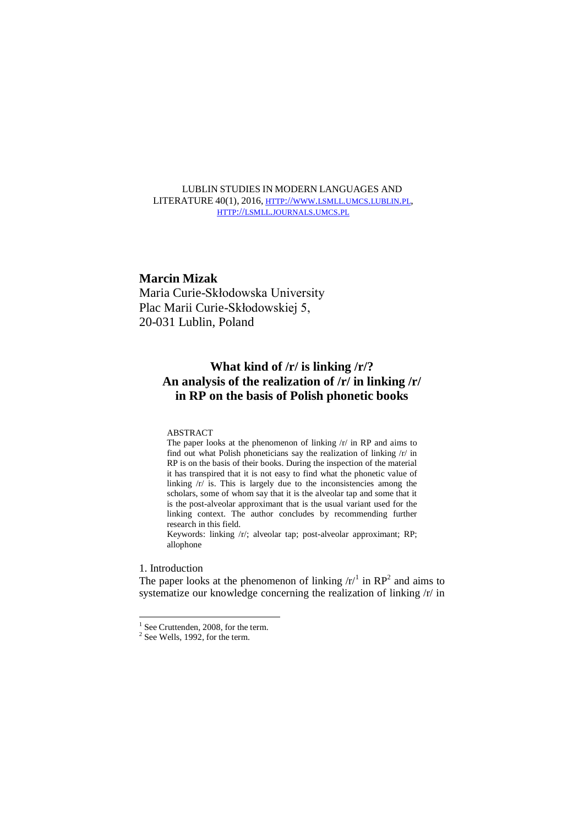LUBLIN STUDIES IN MODERN LANGUAGES AND LITERATURE 40(1), 2016, HTTP://WWW.LSMLL.UMCS.[LUBLIN](http://www.lsmll.umcs.lublin.pl/).PL, HTTP://LSMLL.[JOURNALS](http://lsmll.journals.umcs.pl/).UMCS.PL

# **Marcin Mizak**

Maria Curie-Skłodowska University Plac Marii Curie-Skłodowskiej 5, 20-031 Lublin, Poland

# **What kind of /r/ is linking /r/? An analysis of the realization of /r/ in linking /r/ in RP on the basis of Polish phonetic books**

## ABSTRACT

The paper looks at the phenomenon of linking /r/ in RP and aims to find out what Polish phoneticians say the realization of linking /r/ in RP is on the basis of their books. During the inspection of the material it has transpired that it is not easy to find what the phonetic value of linking /r/ is. This is largely due to the inconsistencies among the scholars, some of whom say that it is the alveolar tap and some that it is the post-alveolar approximant that is the usual variant used for the linking context. The author concludes by recommending further research in this field.

Keywords: linking /r/; alveolar tap; post-alveolar approximant; RP; allophone

# 1. Introduction

-

The paper looks at the phenomenon of linking  $\langle r \rangle^1$  in RP<sup>2</sup> and aims to systematize our knowledge concerning the realization of linking /r/ in

<sup>&</sup>lt;sup>1</sup> See Cruttenden, 2008, for the term.

<sup>&</sup>lt;sup>2</sup> See Wells, 1992, for the term.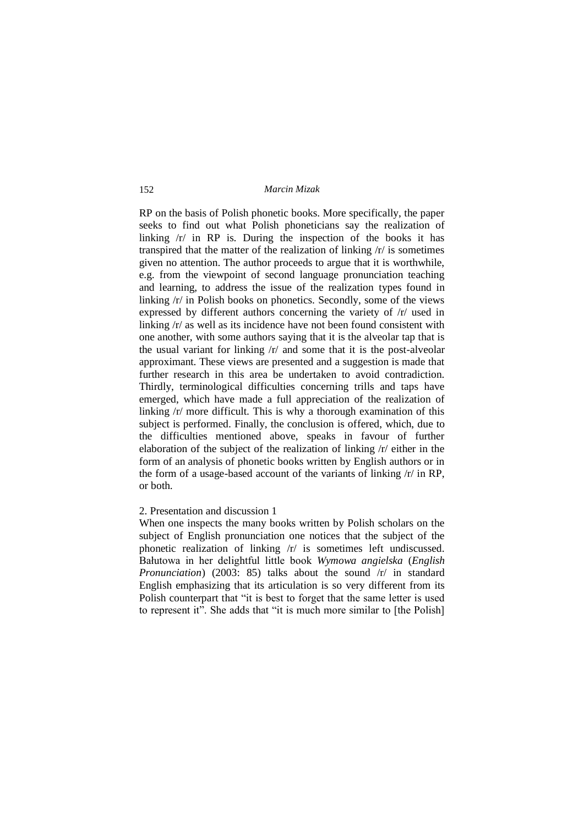RP on the basis of Polish phonetic books. More specifically, the paper seeks to find out what Polish phoneticians say the realization of linking /r/ in RP is. During the inspection of the books it has transpired that the matter of the realization of linking /r/ is sometimes given no attention. The author proceeds to argue that it is worthwhile, e.g. from the viewpoint of second language pronunciation teaching and learning, to address the issue of the realization types found in linking /r/ in Polish books on phonetics. Secondly, some of the views expressed by different authors concerning the variety of /r/ used in linking /r/ as well as its incidence have not been found consistent with one another, with some authors saying that it is the alveolar tap that is the usual variant for linking  $\pi$  and some that it is the post-alveolar approximant. These views are presented and a suggestion is made that further research in this area be undertaken to avoid contradiction. Thirdly, terminological difficulties concerning trills and taps have emerged, which have made a full appreciation of the realization of linking /r/ more difficult. This is why a thorough examination of this subject is performed. Finally, the conclusion is offered, which, due to the difficulties mentioned above, speaks in favour of further elaboration of the subject of the realization of linking /r/ either in the form of an analysis of phonetic books written by English authors or in the form of a usage-based account of the variants of linking /r/ in RP, or both.

# 2. Presentation and discussion 1

When one inspects the many books written by Polish scholars on the subject of English pronunciation one notices that the subject of the phonetic realization of linking /r/ is sometimes left undiscussed. Bałutowa in her delightful little book *Wymowa angielska* (*English Pronunciation*) (2003: 85) talks about the sound /r/ in standard English emphasizing that its articulation is so very different from its Polish counterpart that "it is best to forget that the same letter is used to represent it". She adds that "it is much more similar to [the Polish]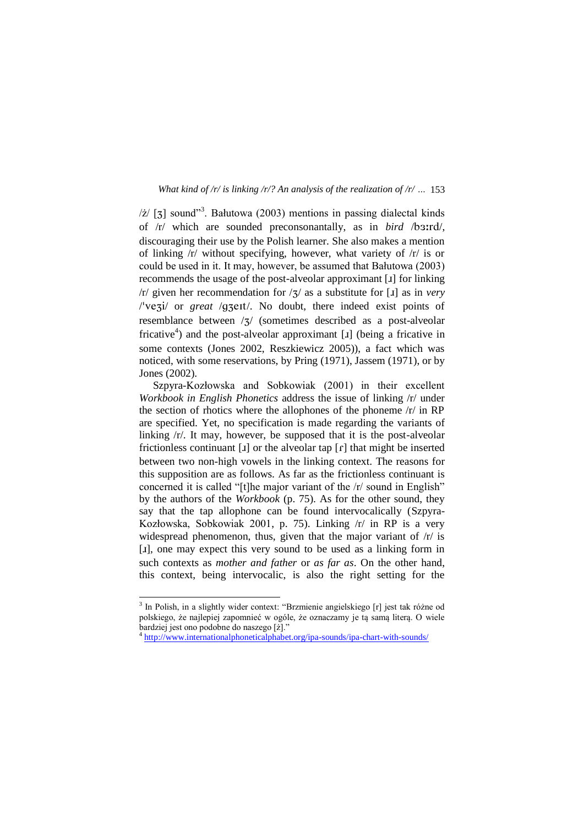$\ell$  [3] sound"<sup>3</sup>. Bałutowa (2003) mentions in passing dialectal kinds of /r/ which are sounded preconsonantally, as in *bird* /b3:rd/, discouraging their use by the Polish learner. She also makes a mention of linking /r/ without specifying, however, what variety of /r/ is or could be used in it. It may, however, be assumed that Bałutowa (2003) recommends the usage of the post-alveolar approximant [1] for linking  $/r$  given her recommendation for  $\frac{7}{3}$  as a substitute for [1] as in *very* /'veZi/ or *great* /gZeIt/. No doubt, there indeed exist points of resemblance between / $\frac{7}{7}$  (sometimes described as a post-alveolar fricative<sup>4</sup>) and the post-alveolar approximant [1] (being a fricative in some contexts (Jones 2002, Reszkiewicz 2005)), a fact which was noticed, with some reservations, by Pring (1971), Jassem (1971), or by Jones (2002).

Szpyra-Kozłowska and Sobkowiak (2001) in their excellent *Workbook in English Phonetics* address the issue of linking /r/ under the section of rhotics where the allophones of the phoneme /r/ in RP are specified. Yet, no specification is made regarding the variants of linking /r/. It may, however, be supposed that it is the post-alveolar frictionless continuant  $\begin{bmatrix} 1 \end{bmatrix}$  or the alveolar tap  $\begin{bmatrix} f \end{bmatrix}$  that might be inserted between two non-high vowels in the linking context. The reasons for this supposition are as follows. As far as the frictionless continuant is concerned it is called "[t]he major variant of the /r/ sound in English" by the authors of the *Workbook* (p. 75). As for the other sound, they say that the tap allophone can be found intervocalically (Szpyra-Kozłowska, Sobkowiak 2001, p. 75). Linking /r/ in RP is a very widespread phenomenon, thus, given that the major variant of  $/r/$  is [1], one may expect this very sound to be used as a linking form in such contexts as *mother and father* or *as far as*. On the other hand, this context, being intervocalic, is also the right setting for the

 3 In Polish, in a slightly wider context: "Brzmienie angielskiego [r] jest tak różne od polskiego, że najlepiej zapomnieć w ogóle, że oznaczamy je tą samą literą. O wiele bardziej jest ono podobne do naszego [ż]."

<sup>&</sup>lt;sup>4</sup> <http://www.internationalphoneticalphabet.org/ipa-sounds/ipa-chart-with-sounds/>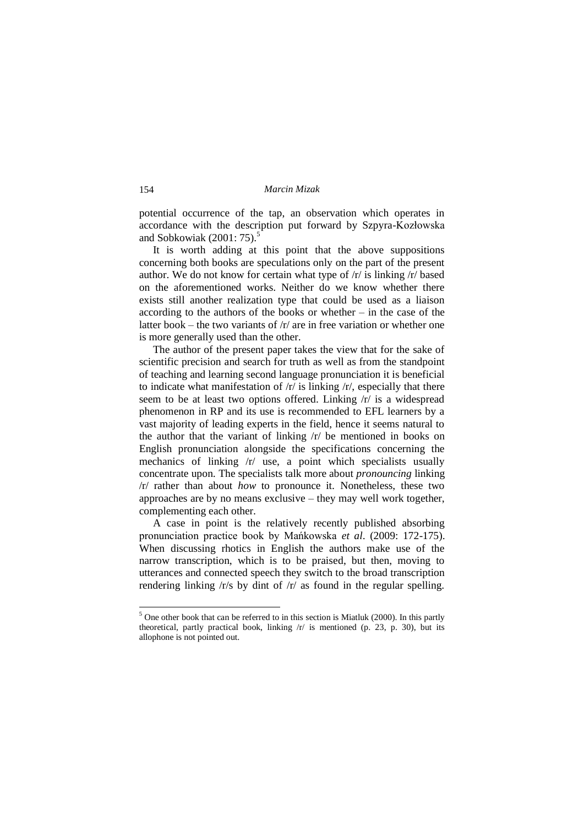potential occurrence of the tap, an observation which operates in accordance with the description put forward by Szpyra-Kozłowska and Sobkowiak  $(2001:75)$ .<sup>5</sup>

It is worth adding at this point that the above suppositions concerning both books are speculations only on the part of the present author. We do not know for certain what type of /r/ is linking /r/ based on the aforementioned works. Neither do we know whether there exists still another realization type that could be used as a liaison according to the authors of the books or whether – in the case of the latter book – the two variants of /r/ are in free variation or whether one is more generally used than the other.

The author of the present paper takes the view that for the sake of scientific precision and search for truth as well as from the standpoint of teaching and learning second language pronunciation it is beneficial to indicate what manifestation of  $/r/$  is linking  $/r/$ , especially that there seem to be at least two options offered. Linking /r/ is a widespread phenomenon in RP and its use is recommended to EFL learners by a vast majority of leading experts in the field, hence it seems natural to the author that the variant of linking /r/ be mentioned in books on English pronunciation alongside the specifications concerning the mechanics of linking /r/ use, a point which specialists usually concentrate upon. The specialists talk more about *pronouncing* linking /r/ rather than about *how* to pronounce it. Nonetheless, these two approaches are by no means exclusive – they may well work together, complementing each other.

A case in point is the relatively recently published absorbing pronunciation practice book by Mańkowska *et al*. (2009: 172-175). When discussing rhotics in English the authors make use of the narrow transcription, which is to be praised, but then, moving to utterances and connected speech they switch to the broad transcription rendering linking /r/s by dint of /r/ as found in the regular spelling.

 $<sup>5</sup>$  One other book that can be referred to in this section is Miatluk (2000). In this partly</sup> theoretical, partly practical book, linking /r/ is mentioned (p. 23, p. 30), but its allophone is not pointed out.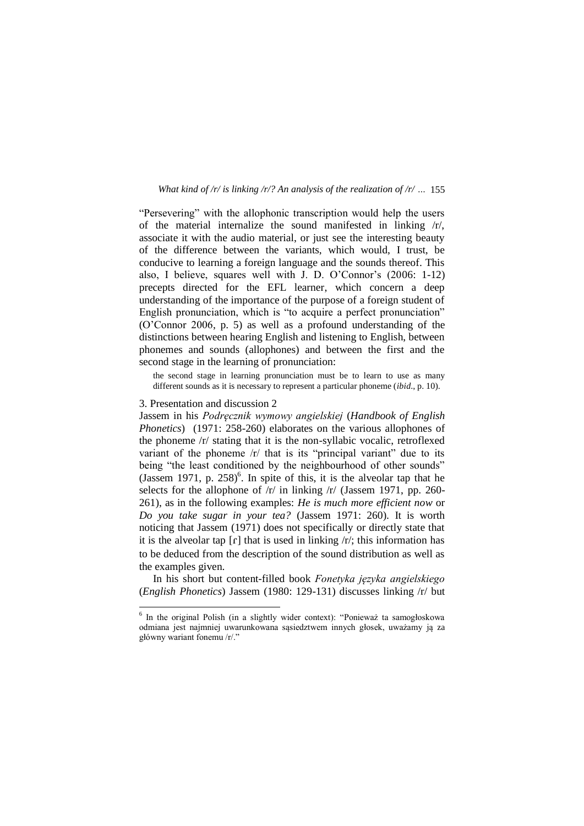"Persevering" with the allophonic transcription would help the users of the material internalize the sound manifested in linking /r/, associate it with the audio material, or just see the interesting beauty of the difference between the variants, which would, I trust, be conducive to learning a foreign language and the sounds thereof. This also, I believe, squares well with J. D. O'Connor's (2006: 1-12) precepts directed for the EFL learner, which concern a deep understanding of the importance of the purpose of a foreign student of English pronunciation, which is "to acquire a perfect pronunciation" (O'Connor 2006, p. 5) as well as a profound understanding of the distinctions between hearing English and listening to English, between phonemes and sounds (allophones) and between the first and the second stage in the learning of pronunciation:

the second stage in learning pronunciation must be to learn to use as many different sounds as it is necessary to represent a particular phoneme (*ibid*., p. 10).

## 3. Presentation and discussion 2

1

Jassem in his *Podręcznik wymowy angielskiej* (*Handbook of English Phonetics*) (1971: 258-260) elaborates on the various allophones of the phoneme /r/ stating that it is the non-syllabic vocalic, retroflexed variant of the phoneme /r/ that is its "principal variant" due to its being "the least conditioned by the neighbourhood of other sounds" (Jassem 1971, p.  $258$ )<sup>6</sup>. In spite of this, it is the alveolar tap that he selects for the allophone of  $/r/$  in linking  $/r/$  (Jassem 1971, pp. 260-261), as in the following examples: *He is much more efficient now* or *Do you take sugar in your tea?* (Jassem 1971: 260). It is worth noticing that Jassem (1971) does not specifically or directly state that it is the alveolar tap  $\lceil \mathbf{r} \rceil$  that is used in linking  $\lceil \mathbf{r}' \rceil$ ; this information has to be deduced from the description of the sound distribution as well as the examples given.

In his short but content-filled book *Fonetyka języka angielskiego*  (*English Phonetics*) Jassem (1980: 129-131) discusses linking /r/ but

<sup>6</sup> In the original Polish (in a slightly wider context): "Ponieważ ta samogłoskowa odmiana jest najmniej uwarunkowana sąsiedztwem innych głosek, uważamy ją za główny wariant fonemu /r/."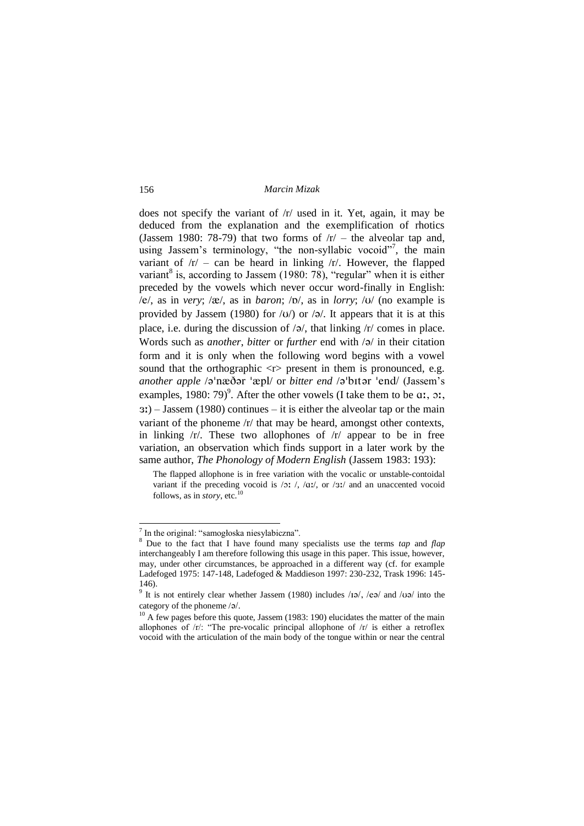does not specify the variant of  $/r$  used in it. Yet, again, it may be deduced from the explanation and the exemplification of rhotics (Jassem 1980: 78-79) that two forms of  $/r -$  the alveolar tap and, using Jassem's terminology, "the non-syllabic vocoid"<sup>7</sup>, the main variant of  $/r$  – can be heard in linking  $/r$ . However, the flapped variant<sup>8</sup> is, according to Jassem (1980: 78), "regular" when it is either preceded by the vowels which never occur word-finally in English: /e/, as in *very*; / $\alpha$ /, as in *baron*; / $\nu$ /, as in *lorry*; / $\nu$ / (no example is provided by Jassem (1980) for  $\langle v \rangle$  or  $\langle v \rangle$ . It appears that it is at this place, i.e. during the discussion of  $\sqrt{a}$ , that linking  $\sqrt{r}$  comes in place. Words such as *another*, *bitter* or *further* end with  $\sqrt{a}$  in their citation form and it is only when the following word begins with a vowel sound that the orthographic  $\langle r \rangle$  present in them is pronounced, e.g. *another apple* /a'næðar 'æpl/ or *bitter end* /a'bItar 'end/ (Jassem's examples, 1980: 79 $)^9$ . After the other vowels (I take them to be  $a_1, a_2,$  $E(3)$  – Jassem (1980) continues – it is either the alveolar tap or the main variant of the phoneme /r/ that may be heard, amongst other contexts, in linking  $/r/$ . These two allophones of  $/r/$  appear to be in free variation, an observation which finds support in a later work by the same author, *The Phonology of Modern English* (Jassem 1983: 193):

The flapped allophone is in free variation with the vocalic or unstable-contoidal variant if the preceding vocoid is  $/2$ :  $/$ ,  $/2$ :  $/$ , or  $/3$ : and an unaccented vocoid follows, as in *story*, etc.<sup>10</sup>

<sup>&</sup>lt;sup>7</sup> In the original: "samogłoska niesylabiczna".

<sup>&</sup>lt;sup>8</sup> Due to the fact that I have found many specialists use the terms *tap* and *flap* interchangeably I am therefore following this usage in this paper. This issue, however, may, under other circumstances, be approached in a different way (cf. for example Ladefoged 1975: 147-148, Ladefoged & Maddieson 1997: 230-232, Trask 1996: 145- 146).

<sup>&</sup>lt;sup>9</sup> It is not entirely clear whether Jassem (1980) includes  $/104$ ,  $/104$  and  $/100$  into the category of the phoneme /@/.

 $10$  A few pages before this quote, Jassem (1983: 190) elucidates the matter of the main allophones of /r/: "The pre-vocalic principal allophone of /r/ is either a retroflex vocoid with the articulation of the main body of the tongue within or near the central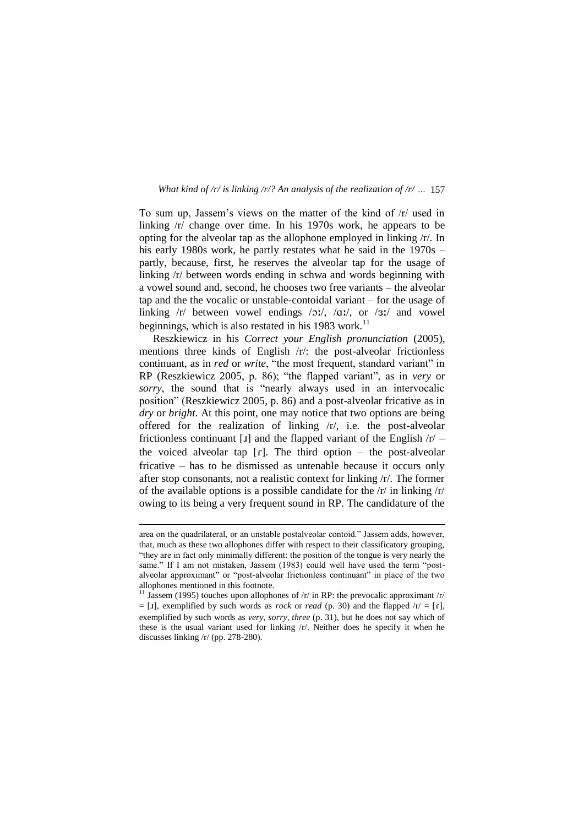To sum up, Jassem's views on the matter of the kind of /r/ used in linking /r/ change over time. In his 1970s work, he appears to be opting for the alveolar tap as the allophone employed in linking /r/. In his early 1980s work, he partly restates what he said in the 1970s – partly, because, first, he reserves the alveolar tap for the usage of linking /r/ between words ending in schwa and words beginning with a vowel sound and, second, he chooses two free variants – the alveolar tap and the the vocalic or unstable-contoidal variant – for the usage of linking  $/r/$  between vowel endings  $/2r/$ ,  $/2r/$ , or  $/3r/$  and vowel beginnings, which is also restated in his 1983 work.<sup>11</sup>

Reszkiewicz in his *Correct your English pronunciation* (2005), mentions three kinds of English /r/: the post-alveolar frictionless continuant, as in *red* or *write*, "the most frequent, standard variant" in RP (Reszkiewicz 2005, p. 86); "the flapped variant", as in *very* or *sorry*, the sound that is "nearly always used in an intervocalic position" (Reszkiewicz 2005, p. 86) and a post-alveolar fricative as in *dry* or *bright*. At this point, one may notice that two options are being offered for the realization of linking /r/, i.e. the post-alveolar frictionless continuant [ $I$ ] and the flapped variant of the English  $/r$  – the voiced alveolar tap  $[r]$ . The third option – the post-alveolar fricative – has to be dismissed as untenable because it occurs only after stop consonants, not a realistic context for linking /r/. The former of the available options is a possible candidate for the /r/ in linking /r/ owing to its being a very frequent sound in RP. The candidature of the

area on the quadrilateral, or an unstable postalveolar contoid." Jassem adds, however, that, much as these two allophones differ with respect to their classificatory grouping, "they are in fact only minimally different: the position of the tongue is very nearly the same." If I am not mistaken, Jassem (1983) could well have used the term "postalveolar approximant" or "post-alveolar frictionless continuant" in place of the two allophones mentioned in this footnote.

<sup>&</sup>lt;sup>11</sup> Jassem (1995) touches upon allophones of  $/r/$  in RP: the prevocalic approximant  $/r/$  $=$  [I], exemplified by such words as *rock* or *read* (p. 30) and the flapped  $/r =$  [r], exemplified by such words as *very*, *sorry*, *three* (p. 31), but he does not say which of these is the usual variant used for linking /r/. Neither does he specify it when he discusses linking /r/ (pp. 278-280).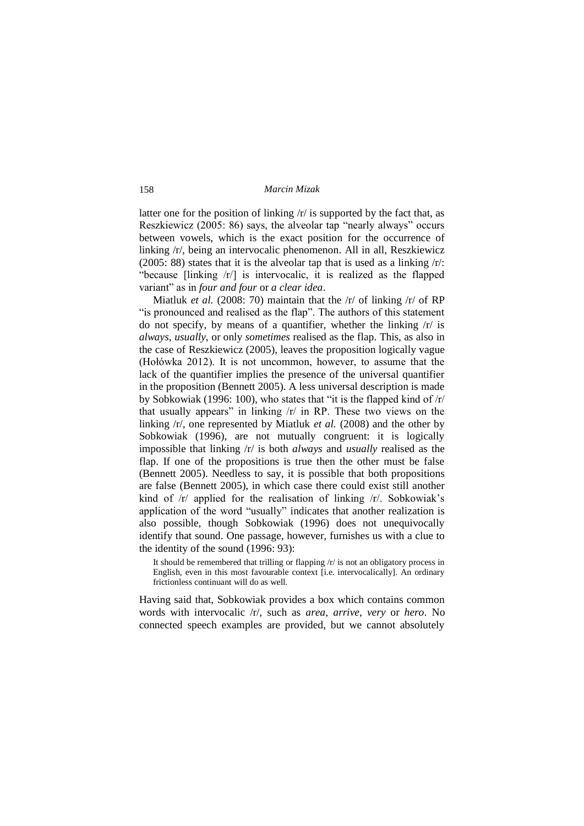latter one for the position of linking /r/ is supported by the fact that, as Reszkiewicz (2005: 86) says, the alveolar tap "nearly always" occurs between vowels, which is the exact position for the occurrence of linking /r/, being an intervocalic phenomenon. All in all, Reszkiewicz (2005: 88) states that it is the alveolar tap that is used as a linking /r/: "because [linking /r/] is intervocalic, it is realized as the flapped variant" as in *four and four* or *a clear idea*.

Miatluk *et al.* (2008: 70) maintain that the  $\frac{r}{r}$  of linking  $\frac{r}{r}$  of RP "is pronounced and realised as the flap". The authors of this statement do not specify, by means of a quantifier, whether the linking /r/ is *always*, *usually*, or only *sometimes* realised as the flap. This, as also in the case of Reszkiewicz (2005), leaves the proposition logically vague (Hołówka 2012). It is not uncommon, however, to assume that the lack of the quantifier implies the presence of the universal quantifier in the proposition (Bennett 2005). A less universal description is made by Sobkowiak (1996: 100), who states that "it is the flapped kind of /r/ that usually appears" in linking  $/r/$  in RP. These two views on the linking /r/, one represented by Miatluk *et al.* (2008) and the other by Sobkowiak (1996), are not mutually congruent: it is logically impossible that linking /r/ is both *always* and *usually* realised as the flap. If one of the propositions is true then the other must be false (Bennett 2005). Needless to say, it is possible that both propositions are false (Bennett 2005), in which case there could exist still another kind of /r/ applied for the realisation of linking /r/. Sobkowiak's application of the word "usually" indicates that another realization is also possible, though Sobkowiak (1996) does not unequivocally identify that sound. One passage, however, furnishes us with a clue to the identity of the sound (1996: 93):

It should be remembered that trilling or flapping /r/ is not an obligatory process in English, even in this most favourable context [i.e. intervocalically]. An ordinary frictionless continuant will do as well.

Having said that, Sobkowiak provides a box which contains common words with intervocalic /r/, such as *area*, *arrive*, *very* or *hero*. No connected speech examples are provided, but we cannot absolutely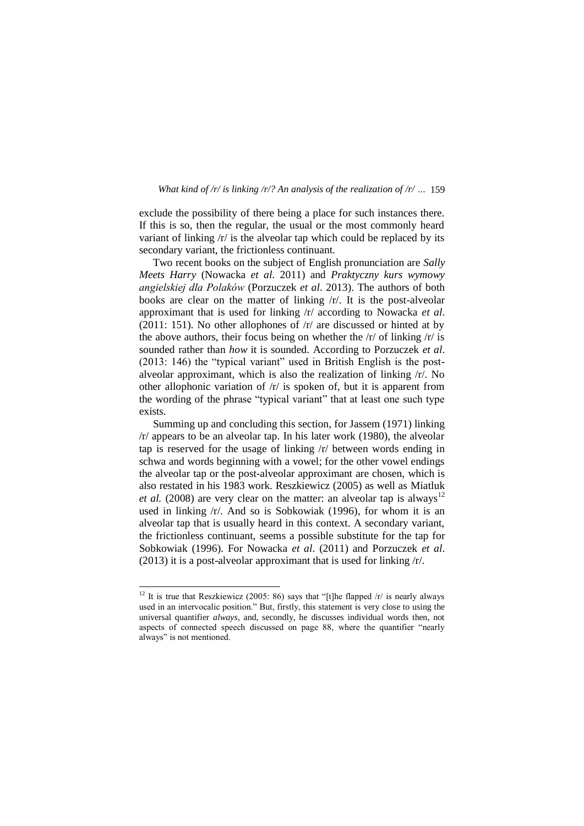exclude the possibility of there being a place for such instances there. If this is so, then the regular, the usual or the most commonly heard variant of linking /r/ is the alveolar tap which could be replaced by its secondary variant, the frictionless continuant.

Two recent books on the subject of English pronunciation are *Sally Meets Harry* (Nowacka *et al*. 2011) and *Praktyczny kurs wymowy angielskiej dla Polaków* (Porzuczek *et al*. 2013). The authors of both books are clear on the matter of linking /r/. It is the post-alveolar approximant that is used for linking /r/ according to Nowacka *et al*. (2011: 151). No other allophones of  $\pi$  are discussed or hinted at by the above authors, their focus being on whether the  $/r/$  of linking  $/r/$  is sounded rather than *how* it is sounded. According to Porzuczek *et al*. (2013: 146) the "typical variant" used in British English is the postalveolar approximant, which is also the realization of linking /r/. No other allophonic variation of /r/ is spoken of, but it is apparent from the wording of the phrase "typical variant" that at least one such type exists.

Summing up and concluding this section, for Jassem (1971) linking /r/ appears to be an alveolar tap. In his later work (1980), the alveolar tap is reserved for the usage of linking /r/ between words ending in schwa and words beginning with a vowel; for the other vowel endings the alveolar tap or the post-alveolar approximant are chosen, which is also restated in his 1983 work. Reszkiewicz (2005) as well as Miatluk *et al.* (2008) are very clear on the matter: an alveolar tap is always<sup>12</sup> used in linking /r/. And so is Sobkowiak (1996), for whom it is an alveolar tap that is usually heard in this context. A secondary variant, the frictionless continuant, seems a possible substitute for the tap for Sobkowiak (1996). For Nowacka *et al*. (2011) and Porzuczek *et al*. (2013) it is a post-alveolar approximant that is used for linking /r/.

<sup>&</sup>lt;sup>12</sup> It is true that Reszkiewicz (2005: 86) says that "[t]he flapped  $/r/$  is nearly always used in an intervocalic position." But, firstly, this statement is very close to using the universal quantifier *always*, and, secondly, he discusses individual words then, not aspects of connected speech discussed on page 88, where the quantifier "nearly always" is not mentioned.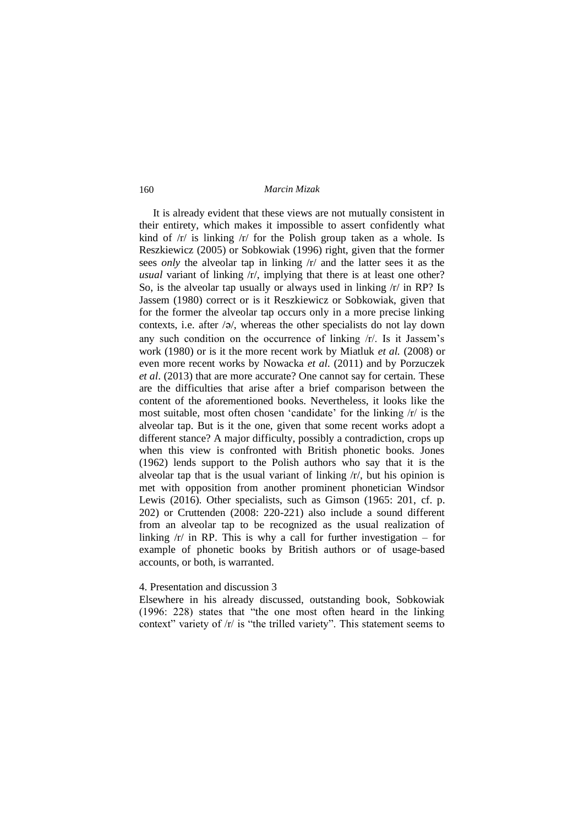It is already evident that these views are not mutually consistent in their entirety, which makes it impossible to assert confidently what kind of /r/ is linking /r/ for the Polish group taken as a whole. Is Reszkiewicz (2005) or Sobkowiak (1996) right, given that the former sees *only* the alveolar tap in linking /r/ and the latter sees it as the *usual* variant of linking /r/, implying that there is at least one other? So, is the alveolar tap usually or always used in linking /r/ in RP? Is Jassem (1980) correct or is it Reszkiewicz or Sobkowiak, given that for the former the alveolar tap occurs only in a more precise linking contexts, i.e. after  $\sqrt{a}$ , whereas the other specialists do not lay down any such condition on the occurrence of linking /r/. Is it Jassem's work (1980) or is it the more recent work by Miatluk *et al.* (2008) or even more recent works by Nowacka *et al*. (2011) and by Porzuczek *et al*. (2013) that are more accurate? One cannot say for certain. These are the difficulties that arise after a brief comparison between the content of the aforementioned books. Nevertheless, it looks like the most suitable, most often chosen 'candidate' for the linking /r/ is the alveolar tap. But is it the one, given that some recent works adopt a different stance? A major difficulty, possibly a contradiction, crops up when this view is confronted with British phonetic books. Jones (1962) lends support to the Polish authors who say that it is the alveolar tap that is the usual variant of linking /r/, but his opinion is met with opposition from another prominent phonetician Windsor Lewis (2016). Other specialists, such as Gimson (1965: 201, cf. p. 202) or Cruttenden (2008: 220-221) also include a sound different from an alveolar tap to be recognized as the usual realization of linking  $\pi$  in RP. This is why a call for further investigation – for example of phonetic books by British authors or of usage-based accounts, or both, is warranted.

# 4. Presentation and discussion 3

Elsewhere in his already discussed, outstanding book, Sobkowiak (1996: 228) states that "the one most often heard in the linking context" variety of /r/ is "the trilled variety". This statement seems to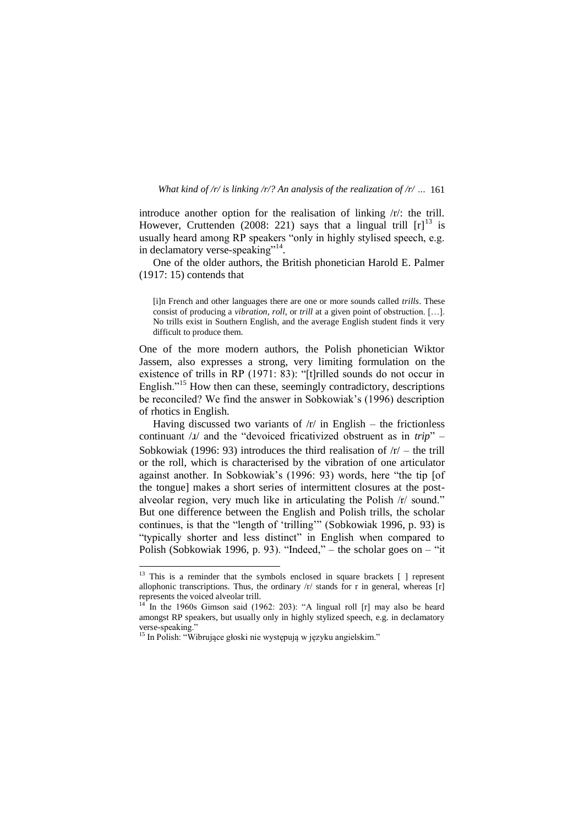introduce another option for the realisation of linking /r/: the trill. However, Cruttenden (2008: 221) says that a lingual trill  $[r]$ <sup>13</sup> is usually heard among RP speakers "only in highly stylised speech, e.g. in declamatory verse-speaking"<sup>14</sup>.

One of the older authors, the British phonetician Harold E. Palmer (1917: 15) contends that

One of the more modern authors, the Polish phonetician Wiktor Jassem, also expresses a strong, very limiting formulation on the existence of trills in RP (1971: 83): "[t]rilled sounds do not occur in English."<sup>15</sup> How then can these, seemingly contradictory, descriptions be reconciled? We find the answer in Sobkowiak's (1996) description of rhotics in English.

Having discussed two variants of  $/r/$  in English – the frictionless continuant / $I$ / and the "devoiced fricativized obstruent as in *trip*" – Sobkowiak (1996: 93) introduces the third realisation of  $/r$  – the trill or the roll, which is characterised by the vibration of one articulator against another. In Sobkowiak's (1996: 93) words, here "the tip [of the tongue] makes a short series of intermittent closures at the postalveolar region, very much like in articulating the Polish /r/ sound." But one difference between the English and Polish trills, the scholar continues, is that the "length of 'trilling'" (Sobkowiak 1996, p. 93) is "typically shorter and less distinct" in English when compared to Polish (Sobkowiak 1996, p. 93). "Indeed," – the scholar goes on – "it

<sup>[</sup>i]n French and other languages there are one or more sounds called *trills*. These consist of producing a *vibration*, *roll*, or *trill* at a given point of obstruction. […]. No trills exist in Southern English, and the average English student finds it very difficult to produce them.

 $13$  This is a reminder that the symbols enclosed in square brackets  $[ ]$  represent allophonic transcriptions. Thus, the ordinary  $/r/$  stands for r in general, whereas [r] represents the voiced alveolar trill.

 $14$  In the 1960s Gimson said (1962: 203): "A lingual roll [r] may also be heard amongst RP speakers, but usually only in highly stylized speech, e.g. in declamatory verse-speaking."

<sup>15</sup> In Polish: "Wibrujące głoski nie występują w języku angielskim."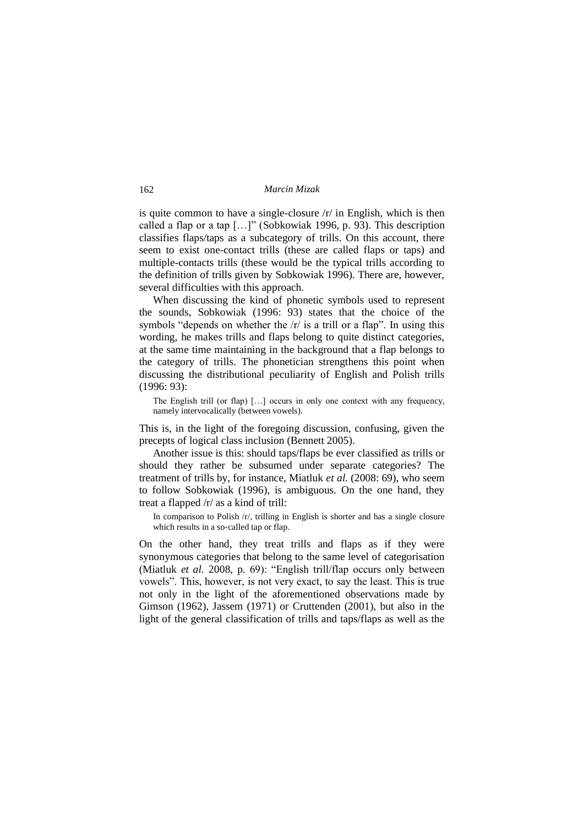is quite common to have a single-closure /r/ in English, which is then called a flap or a tap […]" (Sobkowiak 1996, p. 93). This description classifies flaps/taps as a subcategory of trills. On this account, there seem to exist one-contact trills (these are called flaps or taps) and multiple-contacts trills (these would be the typical trills according to the definition of trills given by Sobkowiak 1996). There are, however, several difficulties with this approach.

When discussing the kind of phonetic symbols used to represent the sounds, Sobkowiak (1996: 93) states that the choice of the symbols "depends on whether the /r/ is a trill or a flap". In using this wording, he makes trills and flaps belong to quite distinct categories, at the same time maintaining in the background that a flap belongs to the category of trills. The phonetician strengthens this point when discussing the distributional peculiarity of English and Polish trills (1996: 93):

The English trill (or flap) […] occurs in only one context with any frequency, namely intervocalically (between vowels).

This is, in the light of the foregoing discussion, confusing, given the precepts of logical class inclusion (Bennett 2005).

Another issue is this: should taps/flaps be ever classified as trills or should they rather be subsumed under separate categories? The treatment of trills by, for instance, Miatluk *et al.* (2008: 69), who seem to follow Sobkowiak (1996), is ambiguous. On the one hand, they treat a flapped /r/ as a kind of trill:

In comparison to Polish /r/, trilling in English is shorter and has a single closure which results in a so-called tap or flap.

On the other hand, they treat trills and flaps as if they were synonymous categories that belong to the same level of categorisation (Miatluk *et al.* 2008, p. 69): "English trill/flap occurs only between vowels". This, however, is not very exact, to say the least. This is true not only in the light of the aforementioned observations made by Gimson (1962), Jassem (1971) or Cruttenden (2001), but also in the light of the general classification of trills and taps/flaps as well as the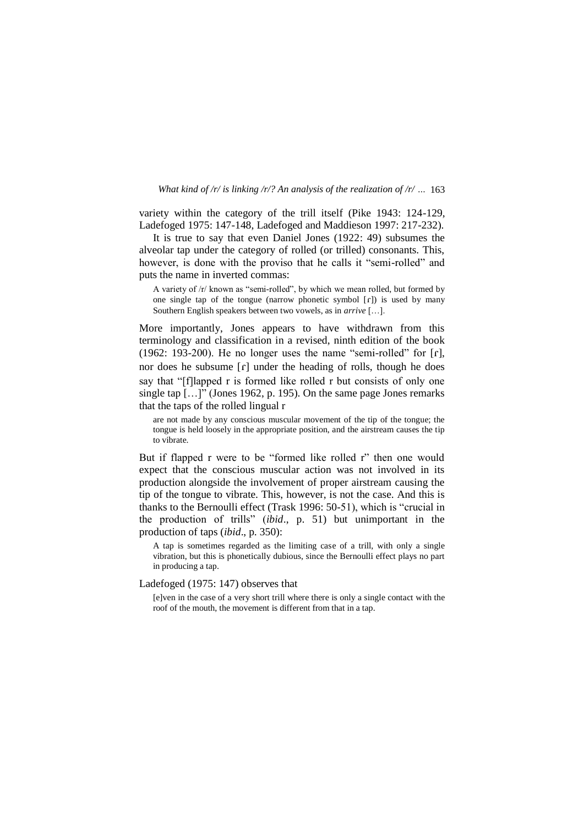variety within the category of the trill itself (Pike 1943: 124-129, Ladefoged 1975: 147-148, Ladefoged and Maddieson 1997: 217-232).

It is true to say that even Daniel Jones (1922: 49) subsumes the alveolar tap under the category of rolled (or trilled) consonants. This, however, is done with the proviso that he calls it "semi-rolled" and puts the name in inverted commas:

A variety of /r/ known as "semi-rolled", by which we mean rolled, but formed by one single tap of the tongue (narrow phonetic symbol  $\lceil \mathbf{r} \rceil$ ) is used by many Southern English speakers between two vowels, as in *arrive* […].

More importantly, Jones appears to have withdrawn from this terminology and classification in a revised, ninth edition of the book (1962: 193-200). He no longer uses the name "semi-rolled" for  $[r]$ , nor does he subsume  $\lceil \cdot \rceil$  under the heading of rolls, though he does say that "[f]lapped r is formed like rolled r but consists of only one single tap […]" (Jones 1962, p. 195). On the same page Jones remarks that the taps of the rolled lingual r

are not made by any conscious muscular movement of the tip of the tongue; the tongue is held loosely in the appropriate position, and the airstream causes the tip to vibrate.

But if flapped r were to be "formed like rolled r" then one would expect that the conscious muscular action was not involved in its production alongside the involvement of proper airstream causing the tip of the tongue to vibrate. This, however, is not the case. And this is thanks to the Bernoulli effect (Trask 1996: 50-51), which is "crucial in the production of trills" (*ibid*., p. 51) but unimportant in the production of taps (*ibid*., p. 350):

A tap is sometimes regarded as the limiting case of a trill, with only a single vibration, but this is phonetically dubious, since the Bernoulli effect plays no part in producing a tap.

# Ladefoged (1975: 147) observes that

[e]ven in the case of a very short trill where there is only a single contact with the roof of the mouth, the movement is different from that in a tap.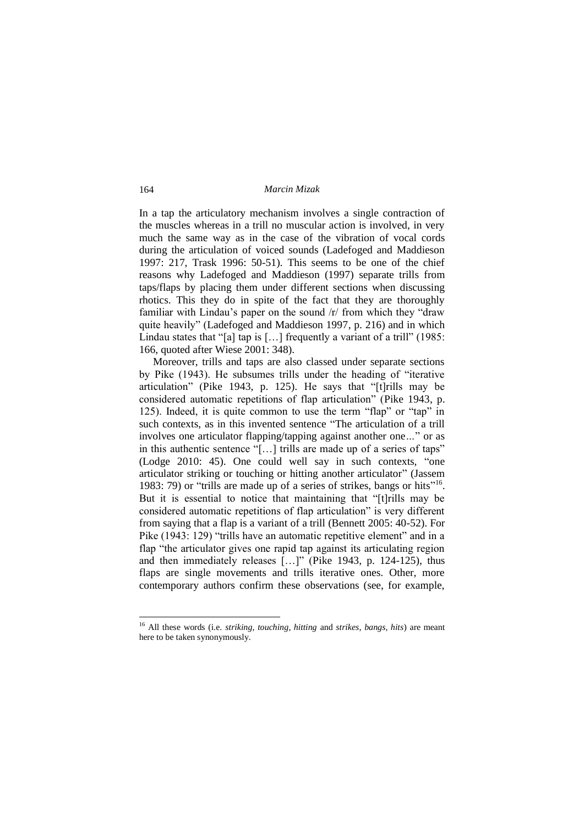In a tap the articulatory mechanism involves a single contraction of the muscles whereas in a trill no muscular action is involved, in very much the same way as in the case of the vibration of vocal cords during the articulation of voiced sounds (Ladefoged and Maddieson 1997: 217, Trask 1996: 50-51). This seems to be one of the chief reasons why Ladefoged and Maddieson (1997) separate trills from taps/flaps by placing them under different sections when discussing rhotics. This they do in spite of the fact that they are thoroughly familiar with Lindau's paper on the sound /r/ from which they "draw quite heavily" (Ladefoged and Maddieson 1997, p. 216) and in which Lindau states that "[a] tap is [...] frequently a variant of a trill" (1985: 166, quoted after Wiese 2001: 348).

Moreover, trills and taps are also classed under separate sections by Pike (1943). He subsumes trills under the heading of "iterative articulation" (Pike 1943, p. 125). He says that "[t]rills may be considered automatic repetitions of flap articulation" (Pike 1943, p. 125). Indeed, it is quite common to use the term "flap" or "tap" in such contexts, as in this invented sentence "The articulation of a trill involves one articulator flapping/tapping against another one*…*" or as in this authentic sentence "[…] trills are made up of a series of taps" (Lodge 2010: 45). One could well say in such contexts, "one articulator striking or touching or hitting another articulator" (Jassem 1983: 79) or "trills are made up of a series of strikes, bangs or hits"<sup>16</sup>. But it is essential to notice that maintaining that "[t]rills may be considered automatic repetitions of flap articulation" is very different from saying that a flap is a variant of a trill (Bennett 2005: 40-52). For Pike (1943: 129) "trills have an automatic repetitive element" and in a flap "the articulator gives one rapid tap against its articulating region and then immediately releases […]" (Pike 1943, p. 124-125), thus flaps are single movements and trills iterative ones. Other, more contemporary authors confirm these observations (see, for example,

-

<sup>16</sup> All these words (i.e. *striking, touching, hitting* and *strikes, bangs, hits*) are meant here to be taken synonymously.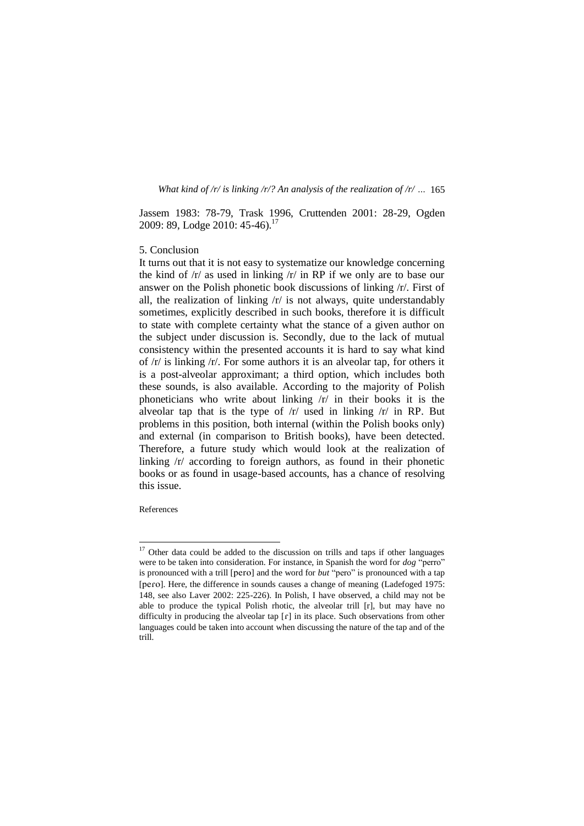Jassem 1983: 78-79, Trask 1996, Cruttenden 2001: 28-29, Ogden 2009: 89, Lodge 2010: 45-46).<sup>17</sup>

# 5. Conclusion

It turns out that it is not easy to systematize our knowledge concerning the kind of /r/ as used in linking /r/ in RP if we only are to base our answer on the Polish phonetic book discussions of linking /r/. First of all, the realization of linking  $\pi$  is not always, quite understandably sometimes, explicitly described in such books, therefore it is difficult to state with complete certainty what the stance of a given author on the subject under discussion is. Secondly, due to the lack of mutual consistency within the presented accounts it is hard to say what kind of /r/ is linking /r/. For some authors it is an alveolar tap, for others it is a post-alveolar approximant; a third option, which includes both these sounds, is also available. According to the majority of Polish phoneticians who write about linking /r/ in their books it is the alveolar tap that is the type of  $/r$  used in linking  $/r$  in RP. But problems in this position, both internal (within the Polish books only) and external (in comparison to British books), have been detected. Therefore, a future study which would look at the realization of linking /r/ according to foreign authors, as found in their phonetic books or as found in usage-based accounts, has a chance of resolving this issue.

References

 $17$  Other data could be added to the discussion on trills and taps if other languages were to be taken into consideration. For instance, in Spanish the word for *dog* "perro" is pronounced with a trill [pero] and the word for *but* "pero" is pronounced with a tap [pero]. Here, the difference in sounds causes a change of meaning (Ladefoged 1975: 148, see also Laver 2002: 225-226). In Polish, I have observed, a child may not be able to produce the typical Polish rhotic, the alveolar trill [r], but may have no difficulty in producing the alveolar tap  $[r]$  in its place. Such observations from other languages could be taken into account when discussing the nature of the tap and of the trill.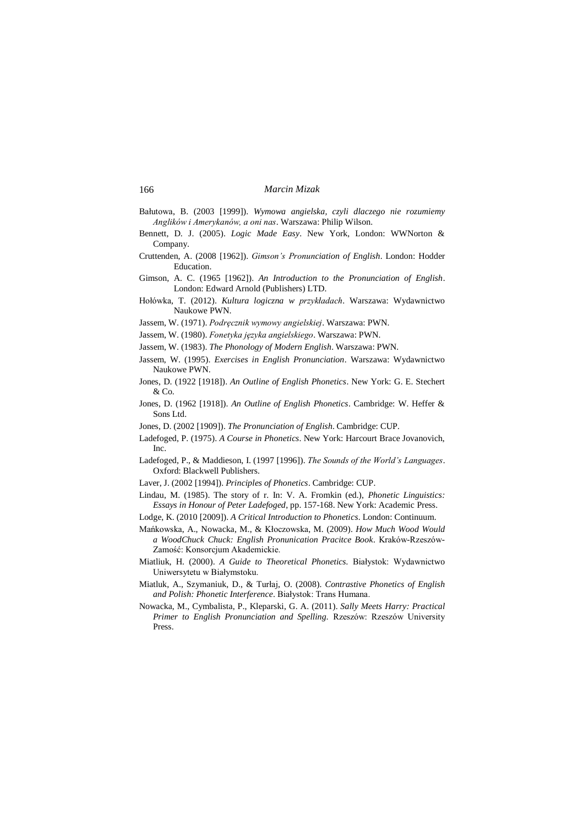- Bałutowa, B. (2003 [1999]). *Wymowa angielska, czyli dlaczego nie rozumiemy Anglików i Amerykanów, a oni nas*. Warszawa: Philip Wilson.
- Bennett, D. J. (2005). *Logic Made Easy*. New York, London: WWNorton & Company.
- Cruttenden, A. (2008 [1962]). *Gimson's Pronunciation of English*. London: Hodder Education.
- Gimson, A. C. (1965 [1962]). *An Introduction to the Pronunciation of English*. London: Edward Arnold (Publishers) LTD.
- Hołówka, T. (2012). *Kultura logiczna w przykładach*. Warszawa: Wydawnictwo Naukowe PWN.
- Jassem, W. (1971). *Podręcznik wymowy angielskiej*. Warszawa: PWN.
- Jassem, W. (1980). *Fonetyka języka angielskiego*. Warszawa: PWN.
- Jassem, W. (1983). *The Phonology of Modern English*. Warszawa: PWN.
- Jassem, W. (1995). *Exercises in English Pronunciation*. Warszawa: Wydawnictwo Naukowe PWN.
- Jones, D. (1922 [1918]). *An Outline of English Phonetics*. New York: G. E. Stechert & Co.
- Jones, D. (1962 [1918]). *An Outline of English Phonetics*. Cambridge: W. Heffer & Sons Ltd.
- Jones, D. (2002 [1909]). *The Pronunciation of English*. Cambridge: CUP.
- Ladefoged, P. (1975). *A Course in Phonetics*. New York: Harcourt Brace Jovanovich, Inc.
- Ladefoged, P., & Maddieson, I. (1997 [1996]). *The Sounds of the World's Languages*. Oxford: Blackwell Publishers.
- Laver, J. (2002 [1994]). *Principles of Phonetics*. Cambridge: CUP.
- Lindau, M. (1985). The story of r. In: V. A. Fromkin (ed.), *Phonetic Linguistics: Essays in Honour of Peter Ladefoged*, pp. 157-168. New York: Academic Press.
- Lodge, K. (2010 [2009]). *A Critical Introduction to Phonetics*. London: Continuum.
- Mańkowska, A., Nowacka, M., & Kłoczowska, M. (2009). *How Much Wood Would a WoodChuck Chuck: English Pronunication Pracitce Book*. Kraków-Rzeszów-Zamość: Konsorcjum Akademickie.
- Miatliuk, H. (2000). *A Guide to Theoretical Phonetics.* Białystok: Wydawnictwo Uniwersytetu w Białymstoku.
- Miatluk, A., Szymaniuk, D., & Turłaj, O. (2008). *Contrastive Phonetics of English and Polish: Phonetic Interference*. Białystok: Trans Humana.
- Nowacka, M., Cymbalista, P., Kleparski, G. A. (2011). *Sally Meets Harry: Practical Primer to English Pronunciation and Spelling.* Rzeszów: Rzeszów University Press.